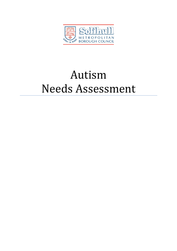

# Autism Needs Assessment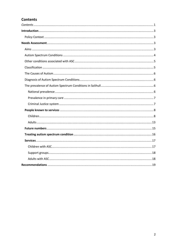# **Contents**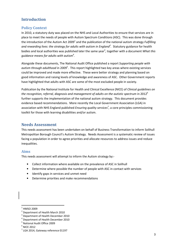# Introduction

# Policy Context

In 2010, a statutory duty was placed on the NHS and Local Authorities to ensure that services are in place to meet the needs of people with Autism Spectrum Conditions (ASC). This was done through the introduction of the Autism Act 2009<sup>1</sup> and the publication of the national autism strategy Fulfilling and rewarding lives: the strategy for adults with autism in England<sup>2</sup>. Statutory guidance for health bodies and local authorities was published later the same year<sup>3</sup>, together with a document What this guidance means for adults with autism $\sp4.$ 

Alongside these documents, The National Audit Office published a report Supporting people with autism through adulthood in 2009<sup>5</sup>. This report highlighted two key areas where existing services could be improved and made more effective. These were better strategy and planning based on good information and raising levels of knowledge and awareness of ASC. Other Government reports have highlighted that adults with ASC are some of the most excluded people in society.

Publication by the National Institute for Health and Clinical Excellence (NICE) of Clinical quidelines on the recognition, referral, diagnosis and management of adults on the autistic spectrum in 2012<sup>6</sup> further supports the implementation of the national autism strategy. This document provides evidence based recommendations. More recently the Local Government Association (LGA) in association with NHS England published *Ensuring quality services<sup>7</sup>*, a core principles commissioning toolkit for those with learning disabilities and/or autism.

# Needs Assessment

This needs assessment has been undertaken on behalf of Business Transformation to inform Solihull Metropolitan Borough Council's Autism Strategy. Needs Assessment is a systematic review of issues facing a population in order to agree priorities and allocate resources to address issues and reduce inequalities.

# Aims

This needs assessment will attempt to inform the Autism strategy by:-

- Collect information where available on the prevalence of ASC in Solihull
- Determine where possible the number of people with ASC in contact with services
- Identify gaps in services and unmet need
- Determine priorities and make recommendations

<sup>1</sup> HMSO 2009

 $2$  Department of Health March 2010

 $3$  Department of Health December 2010

<sup>&</sup>lt;sup>4</sup> Department of Health December 2010

<sup>5</sup> National Audit Office 2009

 $<sup>6</sup>$  NICE 2012</sup>

 $7$  LGA 2014, Gateway reference 01197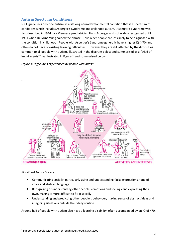# Autism Spectrum Conditions

NICE guidelines describe autism as a lifelong neurodevelopmental condition that is a spectrum of conditions which includes Asperger's Syndrome and childhood autism. Asperger's syndrome was first described in 1944 by a Viennese paediatrician Hans Asperger and not widely recognised until 1981 when Dr Lorna Wing coined the phrase. Thus older people are less likely to be diagnosed with the condition in childhood. People with Asperger's Syndrome generally have a higher IQ (>70) and often do not have coexisting learning difficulties.. However they are still affected by the difficulties common to all people with autism, illustrated in the diagram below and summarised as a "triad of impairments" <sup>8</sup> as illustrated in Figure 1 and summarised below.

#### Figure 1: Difficulties experienced by people with autism



© National Autistic Society

- Communicating socially, particularly using and understanding facial expressions, tone of voice and abstract language
- Recognising or understanding other people's emotions and feelings and expressing their own, making it more difficult to fit in socially
- Understanding and predicting other people's behaviour, making sense of abstract ideas and imagining situations outside their daily routine

Around half of people with autism also have a learning disability, often accompanied by an IQ of <70.

 $^8$  Supporting people with autism through adulthood, NAO, 2009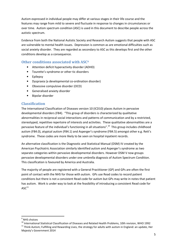Autism expressed in individual people may differ at various stages in their life course and the features may range from mild to severe and fluctuate in response to changes in circumstances or over time. Autism spectrum condition (ASC) is used in this document to describe people across the autistic spectrum.

Evidence from both the National Autistic Society and Research Autism suggests that people with ASC are vulnerable to mental health issues. Depression is common as are emotional difficulties such as social anxiety disorder. They are regarded as secondary to ASC as this develops first and the other conditions develop as a consequence.

## Other conditions associated with ASC<sup>9</sup>

- Attention deficit hyperactivity disorder (ADHD)
- Tourette's syndrome or other tic disorders
- Epilepsy
- Dyspraxia (a developmental co-ordination disorder)
- Obsessive compulsive disorder (OCD)
- Generalised anxiety disorder
- Bipolar disorder

#### Classification

The International Classification of Diseases version 10 (ICD10) places Autism in pervasive developmental disorders (F84). "This group of disorders is characterized by qualitative abnormalities in reciprocal social interactions and patterns of communication and by a restricted, stereotyped, repetitive repertoire of interests and activities. These qualitative abnormalities are a pervasive feature of the individual's functioning in all situations".<sup>10</sup> This group includes childhood autism (F84.0), atypical autism (F84.1) and Asperger's syndrome (F84.5) amongst other e.g. Rett's syndrome. These codes are more likely to be seen on hospital inpatient records.

An alternative classification is the Diagnostic and Statistical Manual (DSM) IV created by the American Psychiatric Association similarly identified autism and Asperger's syndrome as two separate categories within pervasive developmental disorders. However DSM V now groups pervasive developmental disorders under one umbrella diagnosis of Autism Spectrum Condition. This classification is favoured by America and Australia.

The majority of people are registered with a General Practitioner (GP) and GPs are often the first point of contact with the NHS for those with autism. GPs use Read codes to record patient conditions but there is not a consistent Read code for autism but GPs may write in notes that patient has autism. Work is under way to look at the feasibility of introducing a consistent Read code for  $\mathsf{ASC}^{11}$ 

 $\overline{\phantom{0}}$ 

<sup>&</sup>lt;sup>9</sup> NHS choices

<sup>&</sup>lt;sup>10</sup> International Statistical Classification of Diseases and Related Health Problems, 10th revision, WHO 1992  $11$  Think Autism; Fulfilling and Rewarding Lives, the strategy for adults with autism in England: an update, Her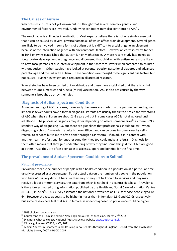# The Causes of Autism

What causes autism is not yet known but it is thought that several complex genetic and environmental factors are involved. Underlying conditions may also contribute to ASC<sup>12</sup>.

The exact cause is still under investigation. Most experts believe there is not one single cause but that it can be caused by several physical factors all of which affect brain development. Several genes are likely to be involved in some forms of autism but it is difficult to establish gene involvement because of the interaction of genes with environmental factors. However an early study by Kanner in 1943 on twins established that autism is highly inheritable. A more recent study has looked at foetal cortex development in pregnancy and discovered that children with autism were more likely to have focal patches of disrupted development in the six cortical layers when compared to children without autism.<sup>13</sup> Other studies have looked at parental obesity, gestational diabetes and advanced parental age and the link with autism. These conditions are thought to be significant risk factors but not causes. Further investigation is required in all areas of research.

Several studies have been carried out world-wide and these have established that there is no link between mumps, measles and rubella (MMR) vaccination. ASC is also not caused by the way someone is brought up or by their diet.

## Diagnosis of Autism Spectrum Conditions

As understanding of ASC increases, more early diagnoses are made. In the past understanding was limited so fewer adults have a formal diagnosis. Parents are usually the first to notice the symptoms of ASC when their children are about 2 -3 years old but in some cases ASC is not diagnosed until adulthood. The process of diagnosis may differ depending on where someone lives<sup>14</sup> as there isn't a standard way of diagnosing ASC but there are guidelines that professionals should follow<sup>15</sup> when diagnosing a child. Diagnosis in adults is more difficult and can be done in some areas by self referral to services but is more often done through a GP referral. If an adult is in contact with another health professional for another condition they too could make a referral. Diagnosis for them often means that they gain understanding of why they find some things difficult but are good at others. Also they are often been able to access support and benefits for the first time.

# The prevalence of Autism Spectrum Conditions in Solihull

#### National prevalence

Prevalence means the number of people with a health condition in a population at a particular time, usually expressed as a percentage. To get actual data on the numbers of people in the population who have ASC is very difficult because they may or may not be known to services and they may receive a lot of different services, the data from which is not held in a central database. Prevalence is therefore estimated using information published by the Health and Social Care Information Centre (NHSCIC) in 2009<sup>16</sup>. This survey estimated the national prevalence at 1.1% for those people aged 18-64. However the rate appears to be higher in males than in females (1.8% and 0.2%) respectively, but some researchers feel that ASC in females is under-diagnosed so prevalence could be higher.

 $\overline{\phantom{0}}$ 

<sup>&</sup>lt;sup>12</sup> NHS choices, www.nhs.uk

 $13$  Courchesne et al, On line edition New England Journal of Medicine, March 27<sup>th</sup> 2014

 $14$  Diagnosis what to expect, National Autistic Society website www.autism.org.uk

<sup>&</sup>lt;sup>15</sup> Clinical guidelines CG128, NICE, 2011

<sup>&</sup>lt;sup>16</sup> Autism Spectrum Disorders in adults living in households throughout England: Report from the Psychiatric Morbidity Survey 2007, NHSCIC 2009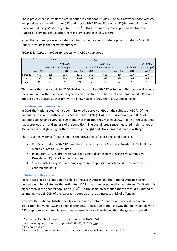These prevalence figures fit the profile found in childhood studies. The split between those with ASC and possible learning difficulties (LD) and those with ASC and little or no LD (this group includes those with) Asperger's is thought to be  $50:50^{17}$ . These estimates are accepted by the National Autistic Society and reflect differences in service and eligibility criteria.

When the national prevalence rate is applied to the most up to date population data for Solihull (2012) it results in the following numbers.

|         | $1 - 17$                |       |       |          | 18-64 |                         | $65+$    |          |                         |  |
|---------|-------------------------|-------|-------|----------|-------|-------------------------|----------|----------|-------------------------|--|
|         | with ASC                |       |       | with ASC |       |                         |          | with ASC |                         |  |
|         | with ASC inc.Asperger's |       |       |          |       | with ASC inc.Asperger's |          |          | with ASC inc.Asperger's |  |
|         | with ASC                | $+LD$ | no LD | with ASC | $+LD$ | no LD                   | with ASC | $+LD$    | no LD                   |  |
| persons | 469                     | 235   | 234   | 1331     | 666   | 665                     | 454      | 227      | 227                     |  |
| males   | 396                     | 198   | 198   | 1064     | 532   | 532                     | 328      | 164      | 164                     |  |
| females | 41                      | 21    | 20    | 124      | 62    | 62                      | 46       | 23       | 23                      |  |

Table 1: Estimated numbers for people with ASC by age group

This means that there could be 2250 children and adults with ASC in Solihull. This figure will include those with and without a formal diagnosis and therefore with both met and unmet need. Research quoted by NICE suggests that for every 3 known cases of ASC there are 2 undiagnosed.

## Prevalence in primary care

In 2008 the National Audit Office commissioned a survey of GPs on the subject of ASC<sup>18</sup>. Of the patients seen in a 6 month period, 2.5% of children (<18), 1.4% of 18-64 year olds and 0.5% of patients aged 65 and over, had symptoms that indicated they may have ASC. None of these patients had a previous formal diagnosis of the condition. The overall prevalence measured in this survey of ASC appears be slightly higher than previously thought and also seems to decrease with age.

There is some evidence<sup>19</sup> that estimates the prevalence of coexisting conditions e.g.

- 84.1% of children with ASC meet the criteria for at least 1 anxiety disorder. In Solihull this would equate to 394 children.
- In addition 10% children with Asperger's were diagnosed with Obsessive Compulsive Disorder (OCD) i.e. 23 Solihull children
- 1 in 15 with Asperger's syndrome experience depression which could be as many as 75 children and adults.

## Criminal Justice system

Richard Mills in a presentation on behalf of Research Autism and the National Autistic Society quoted a number of studies that estimated ASC in the offender population as between 2-4% which is higher than in the general population  $(1\%)^{20}$ . In the same presentation there are studies quoted as estimating that 15-20% of the Asperger's population are at increased risk of offending.

However the National Autistic Society on their website state " that there is no evidence of an association between ASC and criminal offending, in fact, due to the rigid way that many people with ASC keep to rules and regulations, they are usually more law abiding than the general population.

<sup>&</sup>lt;sup>17</sup> Supporting People with autism through adulthood, NAO, 2009

<sup>18</sup> www.nao.org.uk/wp-content/uploads/2009/06/0809556\_gp.pdf

<sup>19</sup> Research Autism

<sup>&</sup>lt;sup>20</sup> Richard Mills, presentation for Research Autism and National Autistic Society, 2012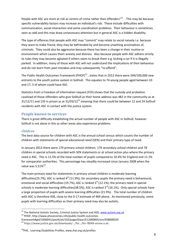People with ASC are more at risk as victims of crime rather than offenders"<sup>21</sup>. This may be because specific vulnerability factors may increase an individual's risk. These include difficulties with communication, social interaction and some coordination problems. Their behaviour is sometimes seen as odd and this may draw unnecessary attention but in general ASC is a hidden disability.

The type of offences that people with ASC may "commit" may relate to social naivety i.e. because they want to make friend, they may be befriended by and become unwitting accomplices of, criminals. They could also be aggressive because there has been a change in their routine or environment which causes them anxiety and distress. Also because people with ASC adhere strictly to rules they may become agitated if others seem to break them e.g. kicking a car if it is illegally parked. In addition, many of those with ASC will not understand the implications of their behaviour and do not learn from past mistakes and may subsequently "re-offend".

The Public Health Outcomes Framework (PHOF) $^{22}$ , states that in 2012 there were 349/100,000 new entrants to the youth justice system in Solihull. This equates to 74 young people aged between 10 and 17, 3 of whom could have ASC.

Statistics from a Freedom of Information request (FOI) shows that the custody and probation caseload of those offenders who give Solihull as their home address was 482 in the community as at 31/12/11 and 135 in prison as at 31/03/12<sup>23</sup> meaning that there could be between 12 and 24 Solihull residents with ASC in contact with the justice system.

## People known to services

There is great difficulty establishing the actual number of people with ASC in Solihull, however Solihull is not alone in this as other areas also experience problems

## Children

 $\overline{\phantom{0}}$ 

The best data source for children with ASC is the annual school census which counts the number of children with statements of special educational need (SEN) and their primary type of need.

In January 2013 there were 179 primary school children, 179 secondary school children and 78 children in special schools recorded with SEN statements or at school action plus where the primary need is ASC. This is 12.5% of the total number of pupils compared to 10.4% for England and 11.1% for comparator authorities. This percentage has steadily increased since January 2008 when the value was  $5.51\%^{24}$ .

The main primary need for statements in primary school children is moderate learning difficulties(23.7%), ASC is ranked  $4<sup>th</sup>$  (11.9%); for secondary pupils the primary need is behavioural, emotional and social difficulties (19.7%), ASC is ranked  $5<sup>th</sup>$  (12.1%); the primary need in special schools is moderate learning difficulties(38.5%), ASC is ranked 3<sup>rd</sup> (16.1%). Only special schools have a large proportion of pupils with severe learning difficulties (21.9%). The total number of children with ASC is therefore 436, close to the 0-17 estimate of 469 above. As mentioned previously, some pupils with learning difficulties as their primary need may also be autistic.

<sup>&</sup>lt;sup>21</sup> The National Autistic Society, Criminal Justice System and ASD, www.autism.org.uk

<sup>22</sup> PHOF, http://www.phoutcomes.info/public-health-outcomes-

framework#gid/1000041/pat/6/ati/102/page/0/par/E12000005/are/E08000029

<sup>&</sup>lt;sup>23</sup> https://www.justice.gov.uk/downloads/.../foi.../foi-78049-annex-a.xls

<sup>&</sup>lt;sup>24</sup>PHE, Learning Disabilities Profiles, www, ihal.org.uk/profiles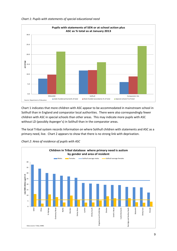

Chart 1: Pupils with statements of special educational need

Chart 1 indicates that more children with ASC appear to be accommodated in mainstream school in Solihull than in England and comparator local authorities. There were also correspondingly fewer children with ASC in special schools than other areas. This may indicate more pupils with ASC without LD (possibly Asperger's) in Solihull than in the comparator areas.

The local Tribal system records Information on where Solihull children with statements and ASC as a primary need, live. Chart 2 appears to show that there is no strong link with deprivation.



Chart 2: Area of residence of pupils with ASC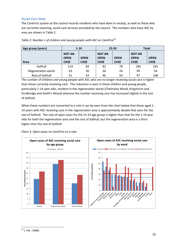#### Social Care Data

The CareFirst system at the council records residents who have been in receipt, as well as those who are currently receiving, social care services provided by the council. The numbers who have ASC by area are shown in Table 2.

| Age group (years)       |                                             | $1 - 14$                   | $15 - 24$                                   |                            | <b>Total</b>                                |                            |
|-------------------------|---------------------------------------------|----------------------------|---------------------------------------------|----------------------------|---------------------------------------------|----------------------------|
| Area                    | <b>NOT AN</b><br><b>OPEN</b><br><b>CASE</b> | <b>OPEN</b><br><b>CASE</b> | <b>NOT AN</b><br><b>OPEN</b><br><b>CASE</b> | <b>OPEN</b><br><b>CASE</b> | <b>NOT AN</b><br><b>OPEN</b><br><b>CASE</b> | <b>OPEN</b><br><b>CASE</b> |
| Solihull                | 114                                         | 84                         | 82                                          | 78                         | 196                                         | 162                        |
| Regeneration wards      | 63                                          | 30                         | 36                                          | 24                         | 99                                          | 54                         |
| <b>Rest of Solihull</b> | 51                                          | 54                         | 46                                          | 54                         | 97                                          | 108                        |

| Table 2: Number s of children and young people with ASC on CareFirst <sup>25</sup> |  |  |  |
|------------------------------------------------------------------------------------|--|--|--|
|                                                                                    |  |  |  |

The number of children and young people with ASC who are no longer receiving social care is higher than those currently receiving care. The reduction is seen in those children and young people, particularly 1-14 year olds, resident in the regeneration wards (Chelmsley Wood, Kingshurst and Fordbridge and Smith's Wood) whereas the number receiving care has increased slightly in the rest of Solihull.

When these numbers are converted to a rate it can be seen from the chart below that those aged 1- 14 years with ASC receiving care in the regeneration area is approximately double that seen for the rest of Solihull. The rate of open cases for the 15-24 age group is higher than that for the 1-14 year olds for both the regeneration area and the rest of Solihull, but the regeneration area is a third higher than the rest of Solihull



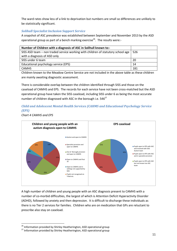The ward rates show less of a link to deprivation but numbers are small so differences are unlikely to be statistically significant.

## Solihull Specialist Inclusion Support Service

A snapshot of ASC prevalence was established between September and November 2013 by the ASD operational group as part of a bench marking exercise<sup>26</sup>. The results were:-

| Number of Children with a diagnosis of ASC in Solihull known to:-                |     |
|----------------------------------------------------------------------------------|-----|
| SISS ASD team - non traded service working with children of statutory school age | 526 |
| with a diagnosis of ASD only                                                     |     |
| SISS under 6 team                                                                | 20  |
| Educational psychology service (EPS)                                             | 14  |
| <b>CAMHS</b>                                                                     | 181 |

Children known to the Meadow Centre Service are not included in the above table as these children are mainly awaiting diagnostic assessment.

There is considerable overlap between the children identified through SISS and those on the caseload of CAMHS and EPS. The records for each service have not been cross-matched but the ASD operational group have taken the SISS caseload, including SISS under 6 as being the most accurate number of children diagnosed with ASC in the borough i.e. 546<sup>27</sup>

# Child and Adolescent Mental Health Services (CAHMS and Educational Psychology Service (EPS)

Chart 4 CAMHS and EPS

l



A high number of children and young people with an ASC diagnosis present to CAMHS with a number of co-morbid difficulties, the largest of which is Attention Deficit Hyperactivity Disorder (ADHD), followed by anxiety and then depression. It is difficult to discharge these individuals as there is no Tier 2 services for families. Children who are on medication that GPs are reluctant to prescribe also stay on caseload.

<sup>&</sup>lt;sup>26</sup> Information provided by Shirley Heatherington, ASD operational group

<sup>27</sup> Information provided by Shirley Heatherington, ASD operational group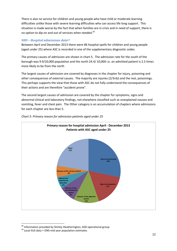There is also no service for children and young people who have mild or moderate learning difficulties unlike those with severe learning difficulties who can access life long support. This situation is made worse by the fact that when families are in crisis and in need of support, there is no option to dip on and out of services when needed.<sup>28</sup>

## NHS – Hospital admissions data<sup>29</sup>

Between April and December 2013 there were 86 hospital spells for children and young people (aged under 25) where ASC is recorded in one of the supplementary diagnostic codes.

The primary causes of admission are shown in chart 5. The admission rate for the south of the borough was 9.9/10,000 population and the north 24.4/ 10,000 i.e. an admitted patient is 2.5 times more likely to be from the north

The largest causes of admission are covered by diagnoses in the chapter for injury, poisoning and other consequences of external causes. The majority are injuries (2/3rds) and the rest, poisonings. This perhaps supports the view that those with ASC do not fully understand the consequences of their actions and are therefore "accident prone".

The second largest causes of admission are covered by the chapter for symptoms, signs and abnormal clinical and laboratory findings, not elsewhere classified such as unexplained nausea and vomiting, fever and chest pain. The Other category is an accumulation of chapters where admissions for each chapter are less than 5.



Chart 5: Primary reason for admission patients aged under 25

 $^{28}$  Information provided by Shirley Heatherington, ASD operational group

<sup>29</sup> Local SUS data + ONS mid year population estimates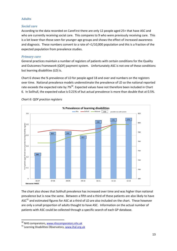#### Adults

#### Social care

According to the data recorded on CareFirst there are only 12 people aged 25+ that have ASC and who are currently receiving social care. This compares to 9 who were previously receiving care. This is a lot lower than those seen for younger age groups and shows the effect of increased awareness and diagnosis. These numbers convert to a rate of <1/10,000 population and this is a fraction of the expected population from prevalence studies.

#### Primary care

General practices maintain a number of registers of patients with certain conditions for the Quality and Outcomes Framework (QOF) payment system. Unfortunately ASC is not one of these conditions but learning disabilities (LD) is.

Chart 6 shows the % prevalence of LD for people aged 18 and over and numbers on the registers over time. National prevalence models underestimate the prevalence of LD so the national reported rate exceeds the expected rate by 7%<sup>30</sup>. Expected values have not therefore been included in Chart 6. In Solihull, the expected value is 0.21% of but actual prevalence is more than double that at 0.5%.



Chart 6: QOF practice registers

The chart also shows that Solihull prevalence has increased over time and was higher than national prevalence but is now the same. Between a fifth and a third of these patients are also likely to have ASC<sup>31</sup> and estimated figures for ASC at a third of LD are also included on the chart. These however are only a small proportion of adults thought to have ASC. Information on the actual number of patients with ASC could be collected through a specific search of each GP database.

 $\overline{a}$ 

<sup>&</sup>lt;sup>30</sup> NHS comparators, www.nhscomparators.nhs.uk

<sup>&</sup>lt;sup>31</sup> Learning Disabilities Observatory, www.ihal.org.uk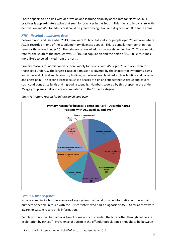There appears to be a link with deprivation and learning disability as the rate for North Solihull practices is approximately twice that seen for practices in the South. This may also imply a link with deprivation and ASC for adults or it could be greater recognition and diagnosis of LD in some areas.

## NHS – Hospital admissions data

Between April and December 2013 there were 28 hospital spells for people aged 25 and over where ASC is recorded in one of the supplementary diagnostic codes. This is a smaller number than that seen for those aged under 25. The primary causes of admission are shown in chart 7. The admission rate for the south of the borough was 1.3/10,000 population and the north 4/10,000 i.e. ~3 times more likely to be admitted from the north.

Primary reasons for admission vary more widely for people with ASC aged 25 and over than for those aged under25. The largest cause of admission is covered by the chapter for symptoms, signs and abnormal clinical and laboratory findings, not elsewhere classified such as fainting and collapse and chest pain. The second largest cause is diseases of skin and subcutaneous tissue and covers such conditions as cellulitis and ingrowing toenails. Numbers covered by this chapter in the under 25 age group are small and are accumulated into the "other" category.





# Criminal justice system

 $\overline{a}$ 

No one asked in Solihull were aware of any system that could provide information on the actual numbers of people in touch with the justice system who had a diagnosis of ASC. As far as they were aware no system records this information.

People with ASC can be both a victim of crime and an offender, the latter often through deliberate exploitation by others<sup>32</sup>. Prevalence of autism in the offender population is thought to be between

 $32$  Richard Mills, Presentation on behalf of Research Autism, June 2012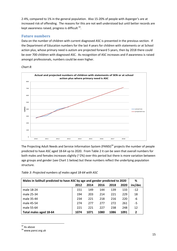2-4%, compared to 1% in the general population. Also 15-20% of people with Asperger's are at increased risk of offending. The reasons for this are not well understood but until better records are kept awareness raised, progress is difficult  $^{33}$ .

# Future numbers

Data on the number of children with current diagnosed ASC is presented in the previous section. If the Department of Education numbers for the last 4 years for children with statements or at School action plus, whose primary need is autism are projected forward 5 years, then by 2018 there could be over 700 children with diagnosed ASC. As recognition of ASC increases and if awareness is raised amongst professionals, numbers could be even higher.

#### Chart 8:



The Projecting Adult Needs and Service Information System (PANSI)<sup>34</sup> projects the number of people predicted to have ASC aged 18-64 up to 2020. From Table 2 it can be seen that overall numbers for both males and females increases slightly (~2%) over this period but there is more variation between age groups and gender (see Chart 1 below) but these numbers reflect the underlying population structure.

| Table 3: Projected numbers of males aged 18-64 with ASC |  |
|---------------------------------------------------------|--|
|---------------------------------------------------------|--|

| Males in Solihull predicted to have ASC by age and gender predicted to 2020 |      |      |      |      |      |                |  |  |
|-----------------------------------------------------------------------------|------|------|------|------|------|----------------|--|--|
| 2020<br>2012<br>2016<br>2018<br>2014                                        |      |      |      |      |      |                |  |  |
| male 18-24                                                                  | 151  | 149  | 144  | 139  | 133  | $-12$          |  |  |
| male 25-34                                                                  | 194  | 203  | 214  | 221  | 229  | 18             |  |  |
| male 35-44                                                                  | 234  | 221  | 218  | 216  | 220  | -6             |  |  |
| male 45-54                                                                  | 274  | 277  | 277  | 272  | 261  | $-5$           |  |  |
| male 55-64                                                                  | 221  | 221  | 227  | 238  | 248  | 12             |  |  |
| Total males aged 18-64                                                      | 1074 | 1071 | 1080 | 1086 | 1091 | $\overline{2}$ |  |  |

l  $33$  As above

<sup>34</sup> www.pansi.org.uk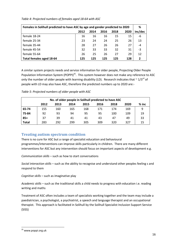| Females in Solihull predicted to have ASC by age and gender predicted to 2020 |     |     |     |     |     |                |  |
|-------------------------------------------------------------------------------|-----|-----|-----|-----|-----|----------------|--|
| 2020<br>2014<br>2018<br>2016<br>2012                                          |     |     |     |     |     |                |  |
| female 18-24                                                                  | 16  | 16  | 16  | 15  | 15  | -6             |  |
| female 25-34                                                                  | 23  | 24  | 24  | 25  | 26  | 13             |  |
| female 35-44                                                                  | 28  | 27  | 26  | 26  | 27  | $-4$           |  |
| female 45-54                                                                  | 32  | 33  | 33  | 32  | 31  | $-3$           |  |
| female 55-64                                                                  | 26  | 25  | 26  | 27  | 29  | 12             |  |
| Total females aged 18-64                                                      | 125 | 125 | 125 | 125 | 128 | $\overline{2}$ |  |

A similar system projects needs and service information for older people, Projecting Older People Population Information System (POPPI)<sup>35</sup>. This system however does not make any reference to ASC only the number of older people with learning disability (LD). Research indicates that  $\sim 1/3^{rd}$  of people with LD may also have ASC, therefore the predicted numbers up to 2020 are:-

| No. of older people in Solihull predicted to have ASC |                                                                 |     |     |     |     |     |     |    |  |  |
|-------------------------------------------------------|-----------------------------------------------------------------|-----|-----|-----|-----|-----|-----|----|--|--|
|                                                       | $%$ inc<br>2012<br>2013<br>2020<br>2014<br>2018<br>2015<br>2016 |     |     |     |     |     |     |    |  |  |
| 65-74                                                 | 155                                                             | 160 | 165 | 168 | 171 | 174 | 169 | 9  |  |  |
| 75-84                                                 | 92                                                              | 93  | 94  | 95  | 95  | 100 | 109 | 19 |  |  |
| $85+$                                                 | 37                                                              | 39  | 41  | 41  | 43  | 47  | 49  | 33 |  |  |
| <b>Total</b>                                          | 283                                                             | 292 | 299 | 305 | 309 | 320 | 327 | 15 |  |  |

Table 5: Projected numbers of older people with ASC

# Treating autism spectrum condition

There is no cure for ASC but a range of specialist education and behavioural programmes/interventions can improve skills particularly in children. There are many different interventions for ASC but any intervention should focus on important aspects of development e.g.

Communication skills – such as how to start conversations

Social interaction skills – such as the ability to recognise and understand other peoples feeling s and respond to them

Cognitive skills – such as imaginative play

Academic skills – such as the traditional skills a child needs to progress with education i.e. reading writing and maths

Treatment of ASC often includes a team of specialists working together and the team may include a paediatrician, a psychologist, a psychiatrist, a speech and language therapist and an occupational therapist. This approach is facilitated in Solihull by the Solihull Specialist Inclusion Support Service (SISS)

 $\overline{a}$ <sup>35</sup> www.poppi.org.uk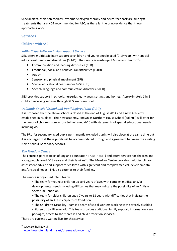Special diets, chelation therapy, hyperbaric oxygen therapy and neuro-feedback are amongst treatments that are NOT recommended for ASC, as there is little or no evidence that these approaches work.

## **Services**

## Children with ASC

#### Solihull Specialist Inclusion Support Service

SISS offers multidisciplinary support to children and young people aged (0-19 years) with special educational needs and disabilities (SEND). The service is made up of 6 specialist teams<sup>36</sup>:-

- Communication and learning difficulties (CLD)
- Emotional , social and behavioural difficulties (ESBD)
- Autism
- Sensory and physical impairment (SPI)
- Special educational needs under 6 (SENU6)
- Speech, language and communication disorders (SLCD)

SISS provides support in schools, nurseries, early years settings and homes. Approximately 1 in 6 children receiving services through SISS are pre-school.

## Oaklands Special School and Pupil Referral Unit (PRU)

It is proposed that the above school is closed at the end of August 2014 and a new Academy established in its place. This new academy, known as Northern House School (Solihull) will cater for the needs of children from across Solihull aged 4-16 with statements of special educational needs including ASC.

The PRU for secondary aged pupils permanently excluded pupils will also close at the same time but it is envisaged that these pupils will be accommodated through and agreement between the existing North Solihull Secondary schools.

#### The Meadow Centre

The centre is part of Heart of England Foundation Trust (HoEFT) and offers services for children and young people aged 0-18 years and their families<sup>37</sup>. The Meadow Centre provides multidisciplinary assessment advice and support for children with significant and complex medical, developmental and/or social needs. This also extends to their families.

The service is organised into 3 teams:

• The team for younger children up to 6 years of age, with complex medical and/or developmental needs including difficulties that may indicate the possibility of an Autism Spectrum Condition.

• The team for older children aged 7 years to 18 years with difficulties that indicate the possibility of an Autistic Spectrum Condition.

• The Children's Disability Team is a team of social workers working with severely disabled children up to 18 years old. This team provides additional family support, information, care packages, access to short breaks and child protection services.

There are currently waiting lists for this service.

<sup>&</sup>lt;sup>36</sup> www.solihull.gov.uk

<sup>37</sup>www.heartofengland.nhs.uk/the-meadow-centre/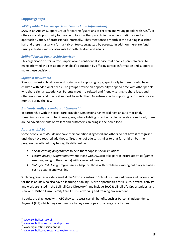#### Support groups

#### SASSI (Solihull Autism Spectrum Support and Information)

SASSI is an Autism Support Group for parents/guardians of children and young people with  $\text{ASC}^{38}$ . It offers a social opportunity for people to talk to other parents in the same situation as well as approach a variety of professionals informally. They meet once a month in the evening in a school hall and there is usually a formal talk on topics suggested by parents. In addition there are fund raising activities and social events for both children and adults.

#### Solihull Parent Partnership Service<sup>39</sup>

This organisation offers a free, impartial and confidential service that enables parents/carers to make informed choices about their child's education by offering advice, information and support to make these decisions.

#### **Signpost Inclusion 40**

Signpost Inclusion hold regular drop-in parent support groups, specifically for parents who have children with additional needs. The groups provide an opportunity to spend time with other people who share similar experiences. Parents meet in a relaxed and friendly setting to share ideas and offer emotional and practical support to each other. An autism specific support group meets once a month, during the day.

#### Autism-friendly screenings at Cineworld

In partnership with the social care provider, Dimensions, Cineworld host an autism-friendly screening once a month to cinema goers, where lighting is kept on, volume levels are reduced, there are no advertisements or trailers and customers can bring in their own food.

#### Adults with ASC

Some people with ASC do not have their condition diagnosed and others do not have it recognised until they have reached adulthood. Treatment of adults is similar to that for children but the programmes offered may be slightly different i.e.

- Social learning programmes to help them cope in social situations
- Leisure activity programmes where those with ASC can take part in leisure activities (games, exercise, going to the cinema) with a group of people
- Skills for daily living programmes help for those with problems carrying out daily activities such as eating and washing

Such programmes are delivered at day/drop in centres in Solihull such as Park View and Bacon's End for those adults who also have a learning disability. More opportunities for leisure, physical activity and work are listed in the Solihull Care Directory<sup>41</sup> and include SoLO (Solihull Life Opportunities) and Newlands Bishop Farm (Family Care Trust) - a working and training environment.

If adults are diagnosed with ASC they can access certain benefits such as Personal Independence Payment (PIP) which they can then use to buy care or pay for a range of activities.

 $\overline{\phantom{0}}$ 

<sup>38</sup> www.solihullsassi.co.uk

<sup>39</sup> www.solihullparentpartnership.co.uk

<sup>40</sup> www.signpostinclusion.org.uk

<sup>41</sup> www.solihullcaredirectory.co.uk/Home.aspx